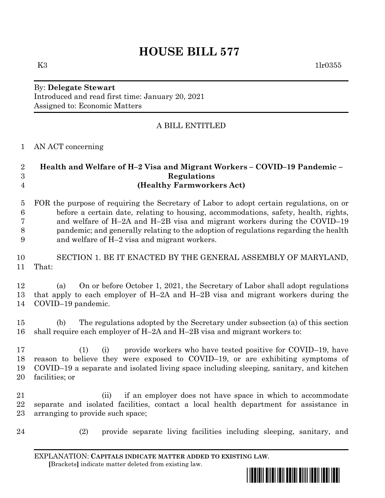# **HOUSE BILL 577**

K3  $1\text{lr}0355$ 

#### By: **Delegate Stewart** Introduced and read first time: January 20, 2021 Assigned to: Economic Matters

## A BILL ENTITLED

### AN ACT concerning

| $\overline{2}$<br>3<br>$\overline{4}$ | Health and Welfare of H-2 Visa and Migrant Workers - COVID-19 Pandemic -<br>Regulations<br>(Healthy Farmworkers Act)                                                                                                                                                                                                                                                                                |
|---------------------------------------|-----------------------------------------------------------------------------------------------------------------------------------------------------------------------------------------------------------------------------------------------------------------------------------------------------------------------------------------------------------------------------------------------------|
| $\overline{5}$<br>6<br>7<br>8<br>9    | FOR the purpose of requiring the Secretary of Labor to adopt certain regulations, on or<br>before a certain date, relating to housing, accommodations, safety, health, rights,<br>and welfare of H-2A and H-2B visa and migrant workers during the COVID-19<br>pandemic; and generally relating to the adoption of regulations regarding the health<br>and welfare of H-2 visa and migrant workers. |
| 10<br>11                              | SECTION 1. BE IT ENACTED BY THE GENERAL ASSEMBLY OF MARYLAND,<br>That:                                                                                                                                                                                                                                                                                                                              |
| 12<br>13<br>14                        | On or before October 1, 2021, the Secretary of Labor shall adopt regulations<br>(a)<br>that apply to each employer of $H$ -2A and $H$ -2B visa and migrant workers during the<br>COVID-19 pandemic.                                                                                                                                                                                                 |
| 15<br>16                              | The regulations adopted by the Secretary under subsection (a) of this section<br>(b)<br>shall require each employer of H-2A and H-2B visa and migrant workers to:                                                                                                                                                                                                                                   |
| 17<br>18<br>19<br>20                  | provide workers who have tested positive for COVID-19, have<br>(1)<br>(i)<br>reason to believe they were exposed to COVID-19, or are exhibiting symptoms of<br>COVID-19 a separate and isolated living space including sleeping, sanitary, and kitchen<br>facilities; or                                                                                                                            |
| 21<br>22<br>$23\,$                    | if an employer does not have space in which to accommodate<br>(ii)<br>separate and isolated facilities, contact a local health department for assistance in<br>arranging to provide such space;                                                                                                                                                                                                     |

(2) provide separate living facilities including sleeping, sanitary, and

EXPLANATION: **CAPITALS INDICATE MATTER ADDED TO EXISTING LAW**.  **[**Brackets**]** indicate matter deleted from existing law.

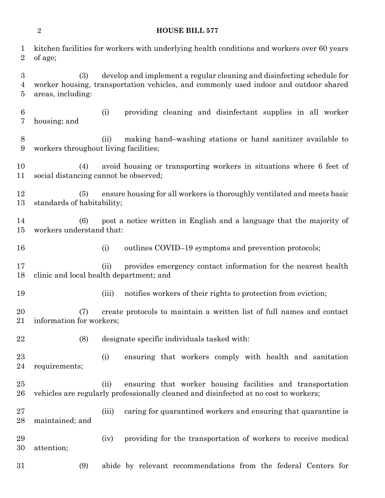| $\overline{2}$<br><b>HOUSE BILL 577</b> |                                       |                                                                                                                                                                |  |
|-----------------------------------------|---------------------------------------|----------------------------------------------------------------------------------------------------------------------------------------------------------------|--|
| $\mathbf 1$<br>$\overline{2}$           | of age;                               | kitchen facilities for workers with underlying health conditions and workers over 60 years                                                                     |  |
| $\boldsymbol{3}$<br>$\overline{4}$<br>5 | (3)<br>areas, including:              | develop and implement a regular cleaning and disinfecting schedule for<br>worker housing, transportation vehicles, and commonly used indoor and outdoor shared |  |
| $\boldsymbol{6}$<br>7                   | housing; and                          | providing cleaning and disinfectant supplies in all worker<br>(i)                                                                                              |  |
| 8<br>$\boldsymbol{9}$                   | workers throughout living facilities; | making hand-washing stations or hand sanitizer available to<br>(ii)                                                                                            |  |
| 10<br>11                                | (4)                                   | avoid housing or transporting workers in situations where 6 feet of<br>social distancing cannot be observed;                                                   |  |
| 12<br>13                                | (5)<br>standards of habitability;     | ensure housing for all workers is thoroughly ventilated and meets basic                                                                                        |  |
| 14<br>15                                | (6)<br>workers understand that:       | post a notice written in English and a language that the majority of                                                                                           |  |
| 16                                      |                                       | outlines COVID-19 symptoms and prevention protocols;<br>(i)                                                                                                    |  |
| 17<br>18                                |                                       | provides emergency contact information for the nearest health<br>(ii)<br>clinic and local health department; and                                               |  |
| 19                                      |                                       | notifies workers of their rights to protection from eviction;<br>(iii)                                                                                         |  |
| 20<br>21                                | (7)<br>information for workers;       | create protocols to maintain a written list of full names and contact                                                                                          |  |
| 22                                      | (8)                                   | designate specific individuals tasked with:                                                                                                                    |  |
| 23<br>24                                | requirements;                         | ensuring that workers comply with health and sanitation<br>(i)                                                                                                 |  |
| 25<br>26                                |                                       | ensuring that worker housing facilities and transportation<br>(ii)<br>vehicles are regularly professionally cleaned and disinfected at no cost to workers;     |  |
| 27<br>28                                | maintained; and                       | caring for quarantined workers and ensuring that quarantine is<br>(iii)                                                                                        |  |
| 29<br>30                                | attention;                            | providing for the transportation of workers to receive medical<br>(iv)                                                                                         |  |
| 31                                      | (9)                                   | abide by relevant recommendations from the federal Centers for                                                                                                 |  |